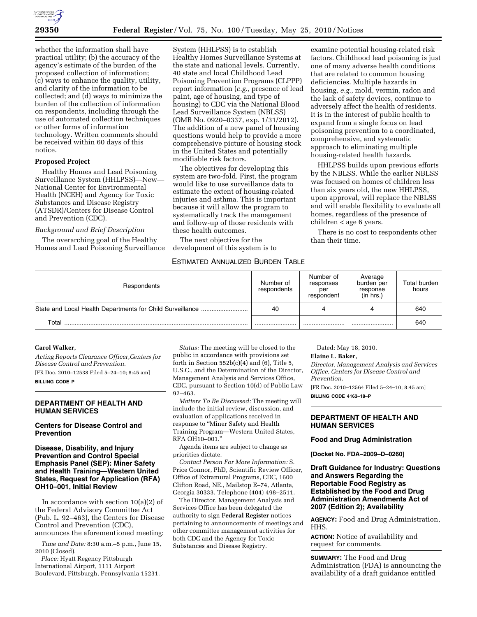

whether the information shall have practical utility; (b) the accuracy of the agency's estimate of the burden of the proposed collection of information; (c) ways to enhance the quality, utility, and clarity of the information to be collected; and (d) ways to minimize the burden of the collection of information on respondents, including through the use of automated collection techniques or other forms of information technology. Written comments should be received within 60 days of this notice.

## **Proposed Project**

Healthy Homes and Lead Poisoning Surveillance System (HHLPSS)-New-National Center for Environmental Health (NCEH) and Agency for Toxic Substances and Disease Registry (ATSDR)/Centers for Disease Control and Prevention (CDC).

## *Background and Brief Description*

The overarching goal of the Healthy Homes and Lead Poisoning Surveillance

System (HHLPSS) is to establish Healthy Homes Surveillance Systems at the state and national levels. Currently, 40 state and local Childhood Lead Poisoning Prevention Programs (CLPPP) report information (*e.g.,* presence of lead paint, age of housing, and type of housing) to CDC via the National Blood Lead Surveillance System (NBLSS) (OMB No. 0920–0337, exp. 1/31/2012). The addition of a new panel of housing questions would help to provide a more comprehensive picture of housing stock in the United States and potentially modifiable risk factors.

The objectives for developing this system are two-fold. First, the program would like to use surveillance data to estimate the extent of housing-related injuries and asthma. This is important because it will allow the program to systematically track the management and follow-up of those residents with these health outcomes.

The next objective for the development of this system is to

# ESTIMATED ANNUALIZED BURDEN TABLE

examine potential housing-related risk factors. Childhood lead poisoning is just one of many adverse health conditions that are related to common housing deficiencies. Multiple hazards in housing, *e.g.,* mold, vermin, radon and the lack of safety devices, continue to adversely affect the health of residents. It is in the interest of public health to expand from a single focus on lead poisoning prevention to a coordinated, comprehensive, and systematic approach to eliminating multiple housing-related health hazards.

HHLPSS builds upon previous efforts by the NBLSS. While the earlier NBLSS was focused on homes of children less than six years old, the new HHLPSS, upon approval, will replace the NBLSS and will enable flexibility to evaluate all homes, regardless of the presence of children < age 6 years.

There is no cost to respondents other than their time.

| Respondents | Number of<br>respondents | Number of<br>responses<br>per<br>respondent | Average<br>burden per<br>response<br>(in hrs.) | Total burden<br>hours |
|-------------|--------------------------|---------------------------------------------|------------------------------------------------|-----------------------|
|             | 40                       |                                             |                                                | 640                   |
| Total       |                          |                                             |                                                | 640                   |

#### **Carol Walker,**

*Acting Reports Clearance Officer,Centers for Disease Control and Prevention.*  [FR Doc. 2010–12538 Filed 5–24–10; 8:45 am]

**BILLING CODE P** 

## **DEPARTMENT OF HEALTH AND HUMAN SERVICES**

## **Centers for Disease Control and Prevention**

## **Disease, Disability, and Injury Prevention and Control Special Emphasis Panel (SEP): Miner Safety and Health Training—Western United States, Request for Application (RFA) OH10–001, Initial Review**

In accordance with section  $10(a)(2)$  of the Federal Advisory Committee Act (Pub. L. 92–463), the Centers for Disease Control and Prevention (CDC), announces the aforementioned meeting:

*Time and Date:* 8:30 a.m.–5 p.m., June 15, 2010 (Closed).

*Place:* Hyatt Regency Pittsburgh International Airport, 1111 Airport Boulevard, Pittsburgh, Pennsylvania 15231.

*Status:* The meeting will be closed to the public in accordance with provisions set forth in Section 552b(c)(4) and (6), Title 5, U.S.C., and the Determination of the Director, Management Analysis and Services Office, CDC, pursuant to Section 10(d) of Public Law 92–463.

*Matters To Be Discussed:* The meeting will include the initial review, discussion, and evaluation of applications received in response to ''Miner Safety and Health Training Program—Western United States, RFA OH10–001.''

Agenda items are subject to change as priorities dictate.

*Contact Person For More Information:* S. Price Connor, PhD, Scientific Review Officer, Office of Extramural Programs, CDC, 1600 Clifton Road, NE., Mailstop E–74, Atlanta, Georgia 30333, Telephone (404) 498–2511.

The Director, Management Analysis and Services Office has been delegated the authority to sign **Federal Register** notices pertaining to announcements of meetings and other committee management activities for both CDC and the Agency for Toxic Substances and Disease Registry.

Dated: May 18, 2010.

# **Elaine L. Baker,**

*Director, Management Analysis and Services Office, Centers for Disease Control and Prevention.* 

[FR Doc. 2010–12564 Filed 5–24–10; 8:45 am] **BILLING CODE 4163–18–P** 

## **DEPARTMENT OF HEALTH AND HUMAN SERVICES**

#### **Food and Drug Administration**

**[Docket No. FDA–2009–D–0260]** 

## **Draft Guidance for Industry: Questions and Answers Regarding the Reportable Food Registry as Established by the Food and Drug Administration Amendments Act of 2007 (Edition 2); Availability**

**AGENCY:** Food and Drug Administration, HHS.

**ACTION:** Notice of availability and request for comments.

**SUMMARY:** The Food and Drug Administration (FDA) is announcing the availability of a draft guidance entitled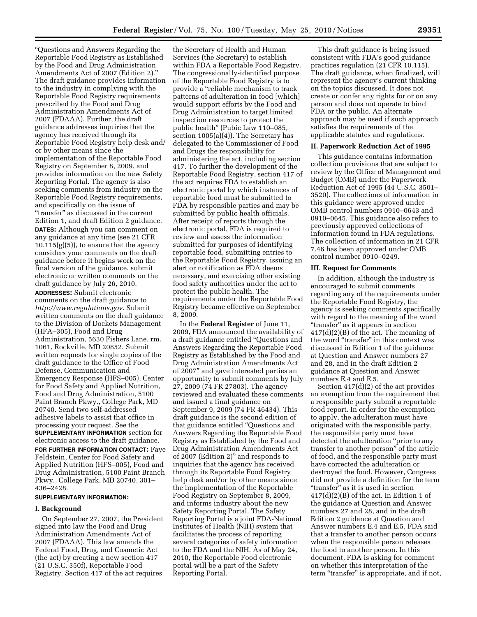''Questions and Answers Regarding the Reportable Food Registry as Established by the Food and Drug Administration Amendments Act of 2007 (Edition 2).'' The draft guidance provides information to the industry in complying with the Reportable Food Registry requirements prescribed by the Food and Drug Administration Amendments Act of 2007 (FDAAA). Further, the draft guidance addresses inquiries that the agency has received through its Reportable Food Registry help desk and/ or by other means since the implementation of the Reportable Food Registry on September 8, 2009, and provides information on the new Safety Reporting Portal. The agency is also seeking comments from industry on the Reportable Food Registry requirements, and specifically on the issue of "transfer" as discussed in the current Edition 1, and draft Edition 2 guidance. **DATES:** Although you can comment on any guidance at any time (see 21 CFR  $10.115(g)(5)$ , to ensure that the agency considers your comments on the draft guidance before it begins work on the final version of the guidance, submit electronic or written comments on the draft guidance by July 26, 2010.

**ADDRESSES:** Submit electronic comments on the draft guidance to *http://www.regulations.gov*. Submit written comments on the draft guidance to the Division of Dockets Management (HFA–305), Food and Drug Administration, 5630 Fishers Lane, rm. 1061, Rockville, MD 20852. Submit written requests for single copies of the draft guidance to the Office of Food Defense, Communication and Emergency Response (HFS–005), Center for Food Safety and Applied Nutrition, Food and Drug Administration, 5100 Paint Branch Pkwy., College Park, MD 20740. Send two self-addressed adhesive labels to assist that office in processing your request. See the **SUPPLEMENTARY INFORMATION** section for electronic access to the draft guidance. **FOR FURTHER INFORMATION CONTACT:** Faye Feldstein, Center for Food Safety and Applied Nutrition (HFS–005), Food and Drug Administration, 5100 Paint Branch Pkwy., College Park, MD 20740, 301– 436–2428.

## **SUPPLEMENTARY INFORMATION:**

#### **I. Background**

On September 27, 2007, the President signed into law the Food and Drug Administration Amendments Act of 2007 (FDAAA). This law amends the Federal Food, Drug, and Cosmetic Act (the act) by creating a new section 417 (21 U.S.C. 350f), Reportable Food Registry. Section 417 of the act requires

the Secretary of Health and Human Services (the Secretary) to establish within FDA a Reportable Food Registry. The congressionally-identified purpose of the Reportable Food Registry is to provide a ''reliable mechanism to track patterns of adulteration in food [which] would support efforts by the Food and Drug Administration to target limited inspection resources to protect the public health'' (Pubic Law 110–085, section 1005(a)(4)). The Secretary has delegated to the Commissioner of Food and Drugs the responsibility for administering the act, including section 417. To further the development of the Reportable Food Registry, section 417 of the act requires FDA to establish an electronic portal by which instances of reportable food must be submitted to FDA by responsible parties and may be submitted by public health officials. After receipt of reports through the electronic portal, FDA is required to review and assess the information submitted for purposes of identifying reportable food, submitting entries to the Reportable Food Registry, issuing an alert or notification as FDA deems necessary, and exercising other existing food safety authorities under the act to protect the public health. The requirements under the Reportable Food Registry became effective on September 8, 2009.

In the **Federal Register** of June 11, 2009, FDA announced the availability of a draft guidance entitled ''Questions and Answers Regarding the Reportable Food Registry as Established by the Food and Drug Administration Amendments Act of 2007'' and gave interested parties an opportunity to submit comments by July 27, 2009 (74 FR 27803). The agency reviewed and evaluated these comments and issued a final guidance on September 9, 2009 (74 FR 46434). This draft guidance is the second edition of that guidance entitled ''Questions and Answers Regarding the Reportable Food Registry as Established by the Food and Drug Administration Amendments Act of 2007 (Edition 2)'' and responds to inquiries that the agency has received through its Reportable Food Registry help desk and/or by other means since the implementation of the Reportable Food Registry on September 8, 2009, and informs industry about the new Safety Reporting Portal. The Safety Reporting Portal is a joint FDA-National Institutes of Health (NIH) system that facilitates the process of reporting several categories of safety information to the FDA and the NIH. As of May 24, 2010, the Reportable Food electronic portal will be a part of the Safety Reporting Portal.

This draft guidance is being issued consistent with FDA's good guidance practices regulation (21 CFR 10.115). The draft guidance, when finalized, will represent the agency's current thinking on the topics discussed. It does not create or confer any rights for or on any person and does not operate to bind FDA or the public. An alternate approach may be used if such approach satisfies the requirements of the applicable statutes and regulations.

#### **II. Paperwork Reduction Act of 1995**

This guidance contains information collection provisions that are subject to review by the Office of Management and Budget (OMB) under the Paperwork Reduction Act of 1995 (44 U.S.C. 3501– 3520). The collections of information in this guidance were approved under OMB control numbers 0910–0643 and 0910–0645. This guidance also refers to previously approved collections of information found in FDA regulations. The collection of information in 21 CFR 7.46 has been approved under OMB control number 0910–0249.

#### **III. Request for Comments**

In addition, although the industry is encouraged to submit comments regarding any of the requirements under the Reportable Food Registry, the agency is seeking comments specifically with regard to the meaning of the word "transfer" as it appears in section 417(d)(2)(B) of the act. The meaning of the word "transfer" in this context was discussed in Edition 1 of the guidance at Question and Answer numbers 27 and 28, and in the draft Edition 2 guidance at Question and Answer numbers E.4 and E.5.

Section 417(d)(2) of the act provides an exemption from the requirement that a responsible party submit a reportable food report. In order for the exemption to apply, the adulteration must have originated with the responsible party, the responsible party must have detected the adulteration ''prior to any transfer to another person'' of the article of food, and the responsible party must have corrected the adulteration or destroyed the food. However, Congress did not provide a definition for the term "transfer" as it is used in section  $417(d)(2)(B)$  of the act. In Edition 1 of the guidance at Question and Answer numbers 27 and 28, and in the draft Edition 2 guidance at Question and Answer numbers E.4 and E.5, FDA said that a transfer to another person occurs when the responsible person releases the food to another person. In this document, FDA is asking for comment on whether this interpretation of the term "transfer" is appropriate, and if not,